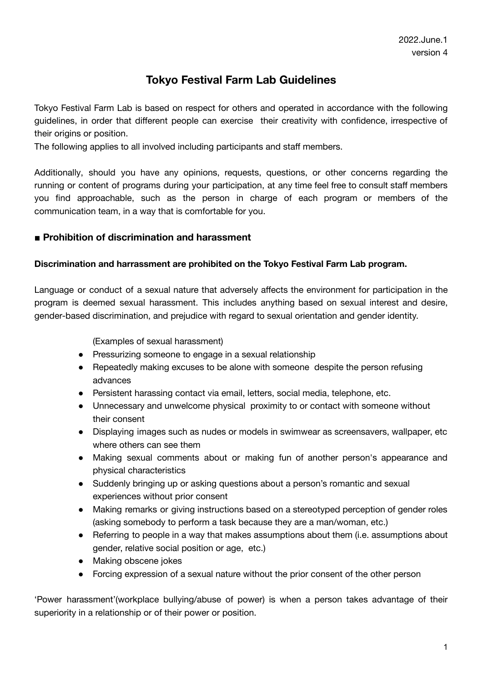# **Tokyo Festival Farm Lab Guidelines**

Tokyo Festival Farm Lab is based on respect for others and operated in accordance with the following guidelines, in order that different people can exercise their creativity with confidence, irrespective of their origins or position.

The following applies to all involved including participants and staff members.

Additionally, should you have any opinions, requests, questions, or other concerns regarding the running or content of programs during your participation, at any time feel free to consult staff members you find approachable, such as the person in charge of each program or members of the communication team, in a way that is comfortable for you.

#### **■ Prohibition of discrimination and harassment**

#### **Discrimination and harrassment are prohibited on the Tokyo Festival Farm Lab program.**

Language or conduct of a sexual nature that adversely affects the environment for participation in the program is deemed sexual harassment. This includes anything based on sexual interest and desire, gender-based discrimination, and prejudice with regard to sexual orientation and gender identity.

(Examples of sexual harassment)

- Pressurizing someone to engage in a sexual relationship
- Repeatedly making excuses to be alone with someone despite the person refusing advances
- Persistent harassing contact via email, letters, social media, telephone, etc.
- Unnecessary and unwelcome physical proximity to or contact with someone without their consent
- Displaying images such as nudes or models in swimwear as screensavers, wallpaper, etc where others can see them
- Making sexual comments about or making fun of another person's appearance and physical characteristics
- Suddenly bringing up or asking questions about a person's romantic and sexual experiences without prior consent
- Making remarks or giving instructions based on a stereotyped perception of gender roles (asking somebody to perform a task because they are a man/woman, etc.)
- Referring to people in a way that makes assumptions about them (i.e. assumptions about gender, relative social position or age, etc.)
- Making obscene jokes
- Forcing expression of a sexual nature without the prior consent of the other person

'Power harassment'(workplace bullying/abuse of power) is when a person takes advantage of their superiority in a relationship or of their power or position.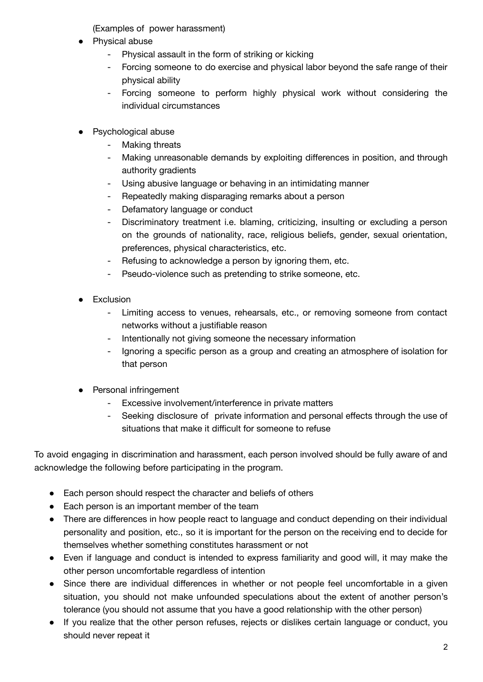(Examples of power harassment)

- Physical abuse
	- Physical assault in the form of striking or kicking
	- Forcing someone to do exercise and physical labor beyond the safe range of their physical ability
	- Forcing someone to perform highly physical work without considering the individual circumstances
- **Psychological abuse** 
	- Making threats
	- Making unreasonable demands by exploiting differences in position, and through authority gradients
	- Using abusive language or behaving in an intimidating manner
	- Repeatedly making disparaging remarks about a person
	- Defamatory language or conduct
	- Discriminatory treatment i.e. blaming, criticizing, insulting or excluding a person on the grounds of nationality, race, religious beliefs, gender, sexual orientation, preferences, physical characteristics, etc.
	- Refusing to acknowledge a person by ignoring them, etc.
	- Pseudo-violence such as pretending to strike someone, etc.
- **•** Exclusion
	- Limiting access to venues, rehearsals, etc., or removing someone from contact networks without a justifiable reason
	- Intentionally not giving someone the necessary information
	- Ignoring a specific person as a group and creating an atmosphere of isolation for that person
- Personal infringement
	- Excessive involvement/interference in private matters
	- Seeking disclosure of private information and personal effects through the use of situations that make it difficult for someone to refuse

To avoid engaging in discrimination and harassment, each person involved should be fully aware of and acknowledge the following before participating in the program.

- Each person should respect the character and beliefs of others
- Each person is an important member of the team
- There are differences in how people react to language and conduct depending on their individual personality and position, etc., so it is important for the person on the receiving end to decide for themselves whether something constitutes harassment or not
- Even if language and conduct is intended to express familiarity and good will, it may make the other person uncomfortable regardless of intention
- Since there are individual differences in whether or not people feel uncomfortable in a given situation, you should not make unfounded speculations about the extent of another person's tolerance (you should not assume that you have a good relationship with the other person)
- If you realize that the other person refuses, rejects or dislikes certain language or conduct, you should never repeat it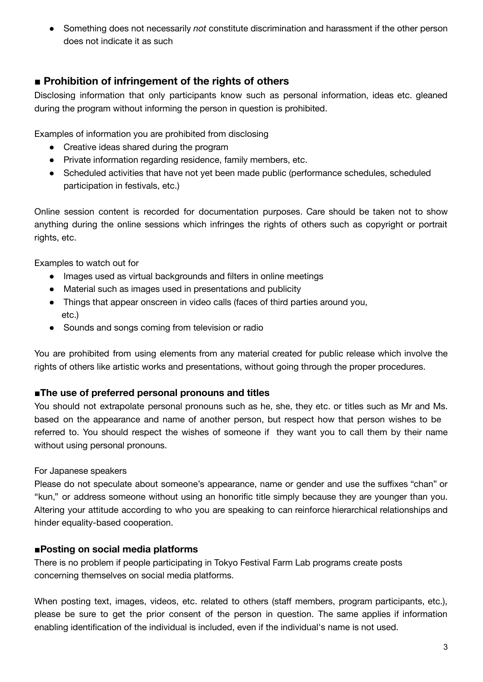● Something does not necessarily *not* constitute discrimination and harassment if the other person does not indicate it as such

## **■ Prohibition of infringement of the rights of others**

Disclosing information that only participants know such as personal information, ideas etc. gleaned during the program without informing the person in question is prohibited.

Examples of information you are prohibited from disclosing

- Creative ideas shared during the program
- Private information regarding residence, family members, etc.
- Scheduled activities that have not yet been made public (performance schedules, scheduled participation in festivals, etc.)

Online session content is recorded for documentation purposes. Care should be taken not to show anything during the online sessions which infringes the rights of others such as copyright or portrait rights, etc.

Examples to watch out for

- Images used as virtual backgrounds and filters in online meetings
- Material such as images used in presentations and publicity
- Things that appear onscreen in video calls (faces of third parties around you, etc.)
- Sounds and songs coming from television or radio

You are prohibited from using elements from any material created for public release which involve the rights of others like artistic works and presentations, without going through the proper procedures.

## **■The use of preferred personal pronouns and titles**

You should not extrapolate personal pronouns such as he, she, they etc. or titles such as Mr and Ms. based on the appearance and name of another person, but respect how that person wishes to be referred to. You should respect the wishes of someone if they want you to call them by their name without using personal pronouns.

#### For Japanese speakers

Please do not speculate about someone's appearance, name or gender and use the suffixes "chan" or "kun," or address someone without using an honorific title simply because they are younger than you. Altering your attitude according to who you are speaking to can reinforce hierarchical relationships and hinder equality-based cooperation.

## **■Posting on social media platforms**

There is no problem if people participating in Tokyo Festival Farm Lab programs create posts concerning themselves on social media platforms.

When posting text, images, videos, etc. related to others (staff members, program participants, etc.), please be sure to get the prior consent of the person in question. The same applies if information enabling identification of the individual is included, even if the individual's name is not used.